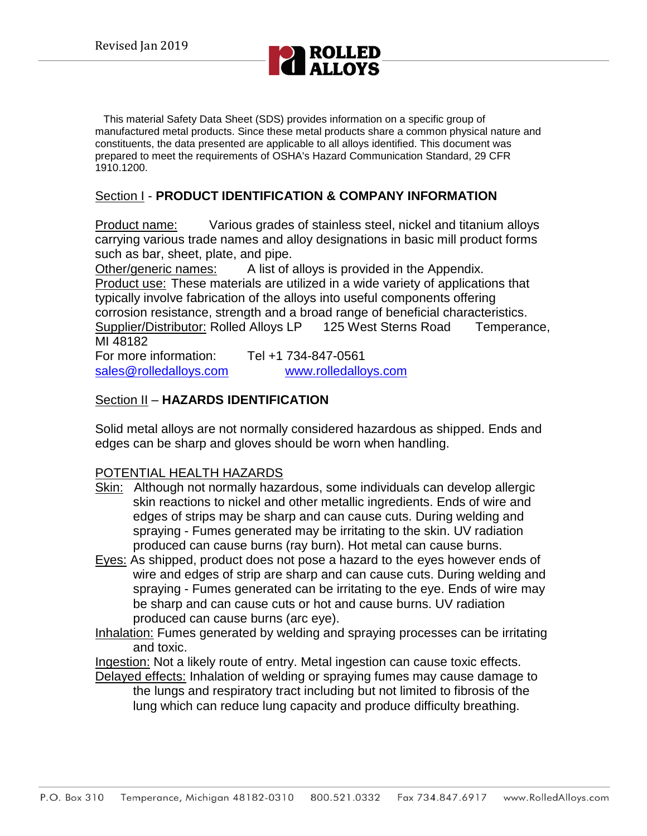

This material Safety Data Sheet (SDS) provides information on a specific group of manufactured metal products. Since these metal products share a common physical nature and constituents, the data presented are applicable to all alloys identified. This document was prepared to meet the requirements of OSHA's Hazard Communication Standard, 29 CFR 1910.1200.

## Section I - **PRODUCT IDENTIFICATION & COMPANY INFORMATION**

Product name: Various grades of stainless steel, nickel and titanium alloys carrying various trade names and alloy designations in basic mill product forms such as bar, sheet, plate, and pipe.

Other/generic names: A list of alloys is provided in the Appendix. Product use: These materials are utilized in a wide variety of applications that typically involve fabrication of the alloys into useful components offering corrosion resistance, strength and a broad range of beneficial characteristics. Supplier/Distributor: Rolled Alloys LP 125 West Sterns Road Temperance, MI 48182

For more information: Tel +1 734-847-0561 [sales@rolledalloys.com](mailto:sales@rolledalloys.com) [www.rolledalloys.com](http://www.rolledalloys.com/)

### Section II – **HAZARDS IDENTIFICATION**

Solid metal alloys are not normally considered hazardous as shipped. Ends and edges can be sharp and gloves should be worn when handling.

## POTENTIAL HEALTH HAZARDS

- Skin: Although not normally hazardous, some individuals can develop allergic skin reactions to nickel and other metallic ingredients. Ends of wire and edges of strips may be sharp and can cause cuts. During welding and spraying - Fumes generated may be irritating to the skin. UV radiation produced can cause burns (ray burn). Hot metal can cause burns.
- Eyes: As shipped, product does not pose a hazard to the eyes however ends of wire and edges of strip are sharp and can cause cuts. During welding and spraying - Fumes generated can be irritating to the eye. Ends of wire may be sharp and can cause cuts or hot and cause burns. UV radiation produced can cause burns (arc eye).
- Inhalation: Fumes generated by welding and spraying processes can be irritating and toxic.
- Ingestion: Not a likely route of entry. Metal ingestion can cause toxic effects.
- Delayed effects: Inhalation of welding or spraying fumes may cause damage to the lungs and respiratory tract including but not limited to fibrosis of the lung which can reduce lung capacity and produce difficulty breathing.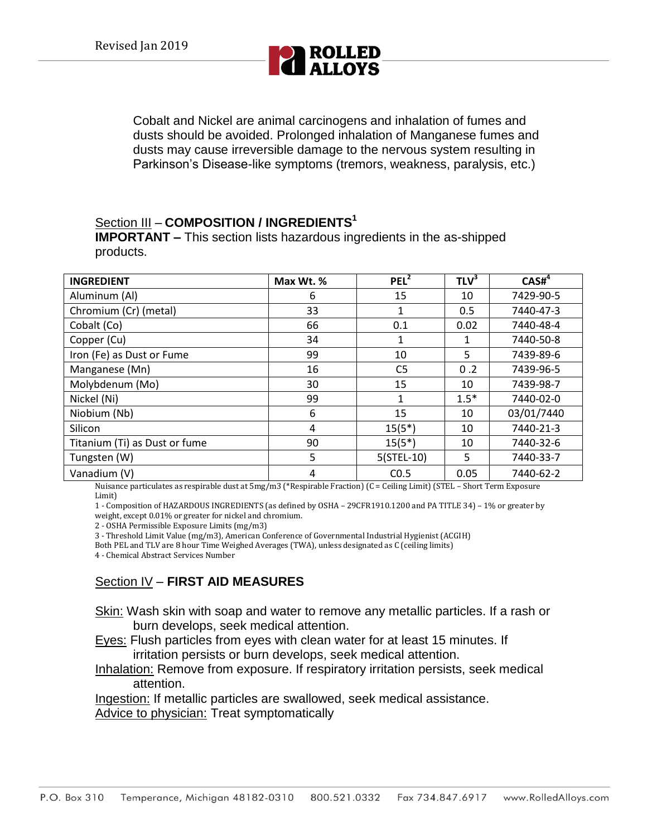

Cobalt and Nickel are animal carcinogens and inhalation of fumes and dusts should be avoided. Prolonged inhalation of Manganese fumes and dusts may cause irreversible damage to the nervous system resulting in Parkinson's Disease-like symptoms (tremors, weakness, paralysis, etc.)

# Section III – **COMPOSITION / INGREDIENTS<sup>1</sup>**

**IMPORTANT –** This section lists hazardous ingredients in the as-shipped products.

| <b>INGREDIENT</b>             | Max Wt. % | PEL <sup>2</sup> | TLV <sup>3</sup> | CASH <sup>4</sup> |
|-------------------------------|-----------|------------------|------------------|-------------------|
| Aluminum (Al)                 | 6         | 15               | 10               | 7429-90-5         |
| Chromium (Cr) (metal)         | 33        | 1                | 0.5              | 7440-47-3         |
| Cobalt (Co)                   | 66        | 0.1              | 0.02             | 7440-48-4         |
| Copper (Cu)                   | 34        | 1                | 1                | 7440-50-8         |
| Iron (Fe) as Dust or Fume     | 99        | 10               | 5                | 7439-89-6         |
| Manganese (Mn)                | 16        | C <sub>5</sub>   | 0.2              | 7439-96-5         |
| Molybdenum (Mo)               | 30        | 15               | 10               | 7439-98-7         |
| Nickel (Ni)                   | 99        | 1                | $1.5*$           | 7440-02-0         |
| Niobium (Nb)                  | 6         | 15               | 10               | 03/01/7440        |
| Silicon                       | 4         | $15(5^*)$        | 10               | 7440-21-3         |
| Titanium (Ti) as Dust or fume | 90        | $15(5^*)$        | 10               | 7440-32-6         |
| Tungsten (W)                  | 5         | $5(STEL-10)$     | 5                | 7440-33-7         |
| Vanadium (V)                  | 4         | CO.5             | 0.05             | 7440-62-2         |

Nuisance particulates as respirable dust at 5mg/m3 (\*Respirable Fraction) (C = Ceiling Limit) (STEL – Short Term Exposure Limit)

1 - Composition of HAZARDOUS INGREDIENTS (as defined by OSHA – 29CFR1910.1200 and PA TITLE 34) – 1% or greater by weight, except 0.01% or greater for nickel and chromium.

2 - OSHA Permissible Exposure Limits (mg/m3)

3 - Threshold Limit Value (mg/m3), American Conference of Governmental Industrial Hygienist (ACGIH)

Both PEL and TLV are 8 hour Time Weighed Averages (TWA), unless designated as C (ceiling limits)

4 - Chemical Abstract Services Number

### Section IV – **FIRST AID MEASURES**

Skin: Wash skin with soap and water to remove any metallic particles. If a rash or burn develops, seek medical attention.

Eyes: Flush particles from eyes with clean water for at least 15 minutes. If irritation persists or burn develops, seek medical attention.

Inhalation: Remove from exposure. If respiratory irritation persists, seek medical attention.

Ingestion: If metallic particles are swallowed, seek medical assistance. Advice to physician: Treat symptomatically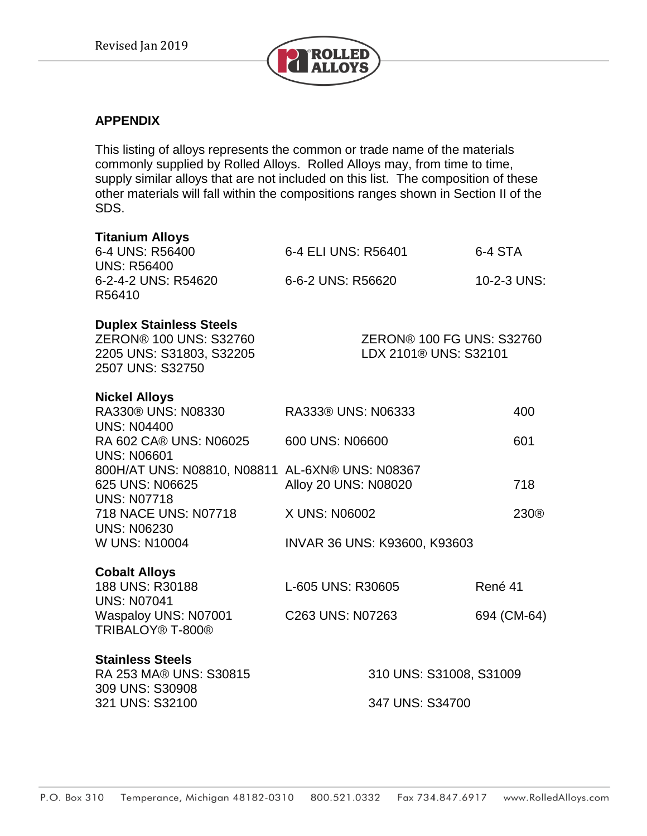This material Saety Data Sheet 6DS)provids information on a specifc group of manufacturednetal prodcts.Since these metal prodcts share a common physical nature and constituents, the dta presentedare applicable to all alloys idntifed his dcument as preparedo meet the regirements of OSHAS Haard Communication StandrdCFR 1900

**Section I- PRODUCT IDENTIFICATION & OMPANY INFORMATION** 

**Prodct name:** Various grads of stainless steel, nickel and itenium alloys carrying various trad names and lloy dsignations in basic mill prodct forms such as bar, sheet, plate, ano pipe.

A list ofalloys is providdn the Append. **Other/generic names:** Prodct use: These materials are utilized a id variety of applications that typically involve abrication of the allovs into useful components of ring corrosion resistance, strength and broadange of beneficial characteristics. **Supplier/DistributoRolledAlloys LP 1226t Sterns Road Temperance, MI 88** 

For more information: Tel  $4Z$  $\blacksquare$ sales@lledlloyscom **wolledlloyscom** 

Section II ±HAZARDS IDENTIFICATION

Solidnetal alloys are not normally considred handus as shipped End and edes can be sharp and loves should be own hen handing.

# POTENTIAL HEALTH HAZARDS

- Skin: Although not normally haardus, some ind idals can dyelop allergic skin reactions to nickel anotther metallic ingretents. End of the and eges ofstrips may be sharp anchan cause cuts. During withg and spraying - Fumes generated may be irritating to the skin. UV radition prodcedan cause burns (ay burn)Hot metal can cause burns.
- Eyes: As shipped prodct des not pose a haardo the eyes hoever end of ine and edges of strip are sharp and can cause cuts. During with g and spraying - Fumes generated an be irritating to the eye. End of the may be sharp and an cause cuts or hot and tause burns. UV radation prodcedan cause burns arc evel
- Inhalation Fumes generatedy withg and praying processes can be irritating andoxic.
- Ingestion Not a likely route of entry. Metal ingestion can cause toxic efects.
- Delaye detects: Inhalation of alting or spraying times may cause dimage to the lungs andespiratory tract includng but not limitedo fbrosis ofthe lung bich can redce lung capacity and rodce doulty breathing.